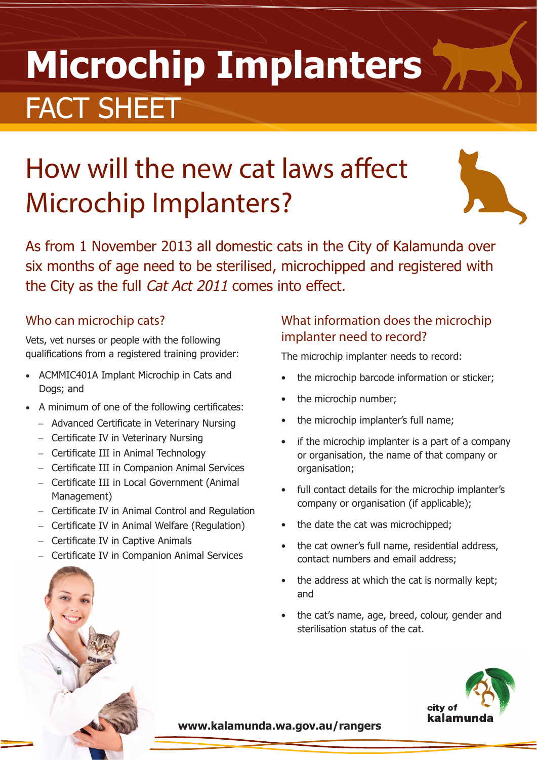# **Microchip Implanters** FACT SHEET

## How will the new cat laws affect Microchip Implanters?



As from 1 November 2013 all domestic cats in the City of Kalamunda over six months of age need to be sterilised, microchipped and registered with the City as the full Cat Act 2011 comes into effect.

#### Who can microchip cats?

Vets, vet nurses or people with the following qualifications from a registered training provider:

- ACMMIC401A Implant Microchip in Cats and Dogs; and
- A minimum of one of the following certificates:
	- − Advanced Certificate in Veterinary Nursing
	- − Certificate IV in Veterinary Nursing
	- − Certificate III in Animal Technology
	- − Certificate III in Companion Animal Services
	- − Certificate III in Local Government (Animal Management)
	- − Certificate IV in Animal Control and Regulation
	- − Certificate IV in Animal Welfare (Regulation)
	- − Certificate IV in Captive Animals
	- − Certificate IV in Companion Animal Services

#### What information does the microchip implanter need to record?

The microchip implanter needs to record:

- the microchip barcode information or sticker;
- the microchip number;
- the microchip implanter's full name;
- if the microchip implanter is a part of a company or organisation, the name of that company or organisation;
- full contact details for the microchip implanter's company or organisation (if applicable);
- the date the cat was microchipped;
- the cat owner's full name, residential address, contact numbers and email address;
- the address at which the cat is normally kept; and
- the cat's name, age, breed, colour, gender and sterilisation status of the cat.



**www.kalamunda.wa.gov.au/rangers**